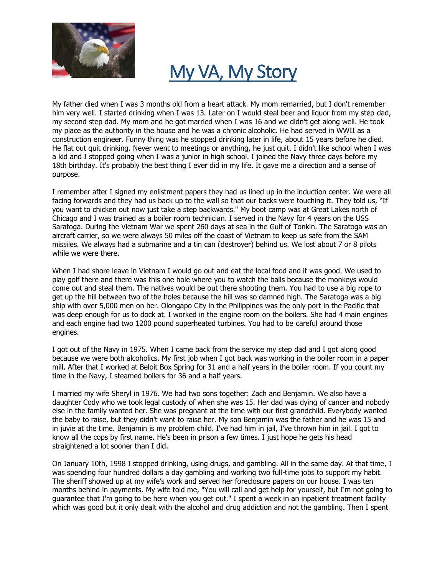

## My VA, My Story

My father died when I was 3 months old from a heart attack. My mom remarried, but I don't remember him very well. I started drinking when I was 13. Later on I would steal beer and liquor from my step dad, my second step dad. My mom and he got married when I was 16 and we didn't get along well. He took my place as the authority in the house and he was a chronic alcoholic. He had served in WWII as a construction engineer. Funny thing was he stopped drinking later in life, about 15 years before he died. He flat out quit drinking. Never went to meetings or anything, he just quit. I didn't like school when I was a kid and I stopped going when I was a junior in high school. I joined the Navy three days before my 18th birthday. It's probably the best thing I ever did in my life. It gave me a direction and a sense of purpose.

I remember after I signed my enlistment papers they had us lined up in the induction center. We were all facing forwards and they had us back up to the wall so that our backs were touching it. They told us, "If you want to chicken out now just take a step backwards." My boot camp was at Great Lakes north of Chicago and I was trained as a boiler room technician. I served in the Navy for 4 years on the USS Saratoga. During the Vietnam War we spent 260 days at sea in the Gulf of Tonkin. The Saratoga was an aircraft carrier, so we were always 50 miles off the coast of Vietnam to keep us safe from the SAM missiles. We always had a submarine and a tin can (destroyer) behind us. We lost about 7 or 8 pilots while we were there.

When I had shore leave in Vietnam I would go out and eat the local food and it was good. We used to play golf there and there was this one hole where you to watch the balls because the monkeys would come out and steal them. The natives would be out there shooting them. You had to use a big rope to get up the hill between two of the holes because the hill was so damned high. The Saratoga was a big ship with over 5,000 men on her. Olongapo City in the Philippines was the only port in the Pacific that was deep enough for us to dock at. I worked in the engine room on the boilers. She had 4 main engines and each engine had two 1200 pound superheated turbines. You had to be careful around those engines.

I got out of the Navy in 1975. When I came back from the service my step dad and I got along good because we were both alcoholics. My first job when I got back was working in the boiler room in a paper mill. After that I worked at Beloit Box Spring for 31 and a half years in the boiler room. If you count my time in the Navy, I steamed boilers for 36 and a half years.

I married my wife Sheryl in 1976. We had two sons together: Zach and Benjamin. We also have a daughter Cody who we took legal custody of when she was 15. Her dad was dying of cancer and nobody else in the family wanted her. She was pregnant at the time with our first grandchild. Everybody wanted the baby to raise, but they didn't want to raise her. My son Benjamin was the father and he was 15 and in juvie at the time. Benjamin is my problem child. I've had him in jail, I've thrown him in jail. I got to know all the cops by first name. He's been in prison a few times. I just hope he gets his head straightened a lot sooner than I did.

On January 10th, 1998 I stopped drinking, using drugs, and gambling. All in the same day. At that time, I was spending four hundred dollars a day gambling and working two full-time jobs to support my habit. The sheriff showed up at my wife's work and served her foreclosure papers on our house. I was ten months behind in payments. My wife told me, "You will call and get help for yourself, but I'm not going to guarantee that I'm going to be here when you get out." I spent a week in an inpatient treatment facility which was good but it only dealt with the alcohol and drug addiction and not the gambling. Then I spent